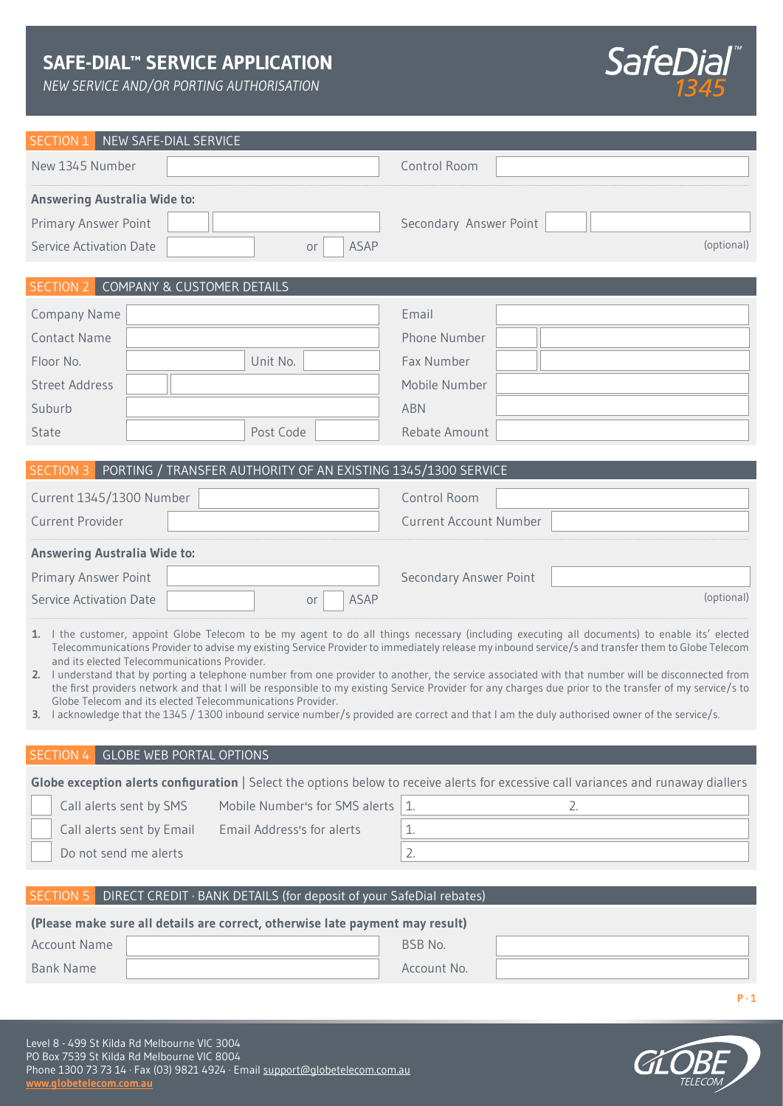## **SAFE-DIAL™ SERVICE APPLICATION**

*NEW SERVICE AND/OR PORTING AUTHORISATION*



| SECTION 1<br>NEW SAFE-DIAL SERVICE                                                                                                                                                                                                                                                                                                                                                                                                                                                                                                                                                                                                                                                                                                                                                                                                                                                 |                                                                                                                                     |  |  |  |  |  |
|------------------------------------------------------------------------------------------------------------------------------------------------------------------------------------------------------------------------------------------------------------------------------------------------------------------------------------------------------------------------------------------------------------------------------------------------------------------------------------------------------------------------------------------------------------------------------------------------------------------------------------------------------------------------------------------------------------------------------------------------------------------------------------------------------------------------------------------------------------------------------------|-------------------------------------------------------------------------------------------------------------------------------------|--|--|--|--|--|
| New 1345 Number                                                                                                                                                                                                                                                                                                                                                                                                                                                                                                                                                                                                                                                                                                                                                                                                                                                                    | Control Room                                                                                                                        |  |  |  |  |  |
| <b>Answering Australia Wide to:</b>                                                                                                                                                                                                                                                                                                                                                                                                                                                                                                                                                                                                                                                                                                                                                                                                                                                |                                                                                                                                     |  |  |  |  |  |
| <b>Primary Answer Point</b>                                                                                                                                                                                                                                                                                                                                                                                                                                                                                                                                                                                                                                                                                                                                                                                                                                                        | Secondary Answer Point                                                                                                              |  |  |  |  |  |
| <b>ASAP</b><br><b>Service Activation Date</b><br>or                                                                                                                                                                                                                                                                                                                                                                                                                                                                                                                                                                                                                                                                                                                                                                                                                                | (optional)                                                                                                                          |  |  |  |  |  |
|                                                                                                                                                                                                                                                                                                                                                                                                                                                                                                                                                                                                                                                                                                                                                                                                                                                                                    |                                                                                                                                     |  |  |  |  |  |
| <b>SECTION 2 COMPANY &amp; CUSTOMER DETAILS</b>                                                                                                                                                                                                                                                                                                                                                                                                                                                                                                                                                                                                                                                                                                                                                                                                                                    |                                                                                                                                     |  |  |  |  |  |
| <b>Company Name</b>                                                                                                                                                                                                                                                                                                                                                                                                                                                                                                                                                                                                                                                                                                                                                                                                                                                                | Email                                                                                                                               |  |  |  |  |  |
| <b>Contact Name</b>                                                                                                                                                                                                                                                                                                                                                                                                                                                                                                                                                                                                                                                                                                                                                                                                                                                                | Phone Number                                                                                                                        |  |  |  |  |  |
| Unit No.<br>Floor No.                                                                                                                                                                                                                                                                                                                                                                                                                                                                                                                                                                                                                                                                                                                                                                                                                                                              | Fax Number                                                                                                                          |  |  |  |  |  |
| <b>Street Address</b>                                                                                                                                                                                                                                                                                                                                                                                                                                                                                                                                                                                                                                                                                                                                                                                                                                                              | Mobile Number                                                                                                                       |  |  |  |  |  |
| Suburb                                                                                                                                                                                                                                                                                                                                                                                                                                                                                                                                                                                                                                                                                                                                                                                                                                                                             | <b>ABN</b>                                                                                                                          |  |  |  |  |  |
| Post Code<br>State                                                                                                                                                                                                                                                                                                                                                                                                                                                                                                                                                                                                                                                                                                                                                                                                                                                                 | Rebate Amount                                                                                                                       |  |  |  |  |  |
|                                                                                                                                                                                                                                                                                                                                                                                                                                                                                                                                                                                                                                                                                                                                                                                                                                                                                    |                                                                                                                                     |  |  |  |  |  |
| SECTION 3<br>PORTING / TRANSFER AUTHORITY OF AN EXISTING 1345/1300 SERVICE                                                                                                                                                                                                                                                                                                                                                                                                                                                                                                                                                                                                                                                                                                                                                                                                         |                                                                                                                                     |  |  |  |  |  |
| Current 1345/1300 Number                                                                                                                                                                                                                                                                                                                                                                                                                                                                                                                                                                                                                                                                                                                                                                                                                                                           | <b>Control Room</b>                                                                                                                 |  |  |  |  |  |
| <b>Current Provider</b>                                                                                                                                                                                                                                                                                                                                                                                                                                                                                                                                                                                                                                                                                                                                                                                                                                                            | <b>Current Account Number</b>                                                                                                       |  |  |  |  |  |
| <b>Answering Australia Wide to:</b>                                                                                                                                                                                                                                                                                                                                                                                                                                                                                                                                                                                                                                                                                                                                                                                                                                                |                                                                                                                                     |  |  |  |  |  |
| <b>Primary Answer Point</b>                                                                                                                                                                                                                                                                                                                                                                                                                                                                                                                                                                                                                                                                                                                                                                                                                                                        | <b>Secondary Answer Point</b>                                                                                                       |  |  |  |  |  |
| <b>ASAP</b><br><b>Service Activation Date</b><br>or                                                                                                                                                                                                                                                                                                                                                                                                                                                                                                                                                                                                                                                                                                                                                                                                                                | (optional)                                                                                                                          |  |  |  |  |  |
| 1. I the customer, appoint Globe Telecom to be my agent to do all things necessary (including executing all documents) to enable its' elected<br>Telecommunications Provider to advise my existing Service Provider to immediately release my inbound service/s and transfer them to Globe Telecom<br>and its elected Telecommunications Provider.<br>2. I understand that by porting a telephone number from one provider to another, the service associated with that number will be disconnected from<br>the first providers network and that I will be responsible to my existing Service Provider for any charges due prior to the transfer of my service/s to<br>Globe Telecom and its elected Telecommunications Provider.<br>3. I acknowledge that the 1345 / 1300 inbound service number/s provided are correct and that I am the duly authorised owner of the service/s. |                                                                                                                                     |  |  |  |  |  |
|                                                                                                                                                                                                                                                                                                                                                                                                                                                                                                                                                                                                                                                                                                                                                                                                                                                                                    |                                                                                                                                     |  |  |  |  |  |
| <b>GLOBE WEB PORTAL OPTIONS</b><br>SECTION <sub>4</sub>                                                                                                                                                                                                                                                                                                                                                                                                                                                                                                                                                                                                                                                                                                                                                                                                                            |                                                                                                                                     |  |  |  |  |  |
|                                                                                                                                                                                                                                                                                                                                                                                                                                                                                                                                                                                                                                                                                                                                                                                                                                                                                    | Globe exception alerts configuration   Select the options below to receive alerts for excessive call variances and runaway diallers |  |  |  |  |  |
| Mobile Number's for SMS alerts<br>Call alerts sent by SMS                                                                                                                                                                                                                                                                                                                                                                                                                                                                                                                                                                                                                                                                                                                                                                                                                          | 1.<br>2.                                                                                                                            |  |  |  |  |  |
| Call alerts sent by Email<br>Email Address's for alerts                                                                                                                                                                                                                                                                                                                                                                                                                                                                                                                                                                                                                                                                                                                                                                                                                            | 1.                                                                                                                                  |  |  |  |  |  |
| Do not send me alerts                                                                                                                                                                                                                                                                                                                                                                                                                                                                                                                                                                                                                                                                                                                                                                                                                                                              | 2.                                                                                                                                  |  |  |  |  |  |
| SECTION <sub>5</sub><br>DIRECT CREDIT · BANK DETAILS (for deposit of your SafeDial rebates)                                                                                                                                                                                                                                                                                                                                                                                                                                                                                                                                                                                                                                                                                                                                                                                        |                                                                                                                                     |  |  |  |  |  |
| (Please make sure all details are correct, otherwise late payment may result)                                                                                                                                                                                                                                                                                                                                                                                                                                                                                                                                                                                                                                                                                                                                                                                                      |                                                                                                                                     |  |  |  |  |  |
| <b>Account Name</b>                                                                                                                                                                                                                                                                                                                                                                                                                                                                                                                                                                                                                                                                                                                                                                                                                                                                | BSB No.                                                                                                                             |  |  |  |  |  |
| <b>Bank Name</b>                                                                                                                                                                                                                                                                                                                                                                                                                                                                                                                                                                                                                                                                                                                                                                                                                                                                   | Account No.                                                                                                                         |  |  |  |  |  |
|                                                                                                                                                                                                                                                                                                                                                                                                                                                                                                                                                                                                                                                                                                                                                                                                                                                                                    |                                                                                                                                     |  |  |  |  |  |
|                                                                                                                                                                                                                                                                                                                                                                                                                                                                                                                                                                                                                                                                                                                                                                                                                                                                                    | $P \cdot 1$                                                                                                                         |  |  |  |  |  |